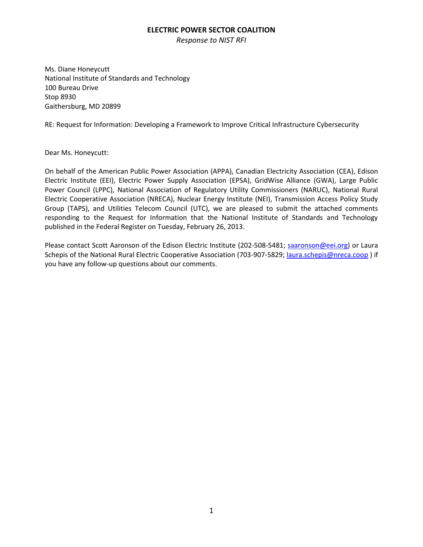*Response to NIST RFI*

Ms. Diane Honeycutt National Institute of Standards and Technology 100 Bureau Drive Stop 8930 Gaithersburg, MD 20899

RE: Request for Information: Developing a Framework to Improve Critical Infrastructure Cybersecurity

Dear Ms. Honeycutt:

On behalf of the American Public Power Association (APPA), Canadian Electricity Association (CEA), Edison Electric Institute (EEI), Electric Power Supply Association (EPSA), GridWise Alliance (GWA), Large Public Power Council (LPPC), National Association of Regulatory Utility Commissioners (NARUC), National Rural Electric Cooperative Association (NRECA), Nuclear Energy Institute (NEI), Transmission Access Policy Study Group (TAPS), and Utilities Telecom Council (UTC), we are pleased to submit the attached comments responding to the Request for Information that the National Institute of Standards and Technology published in the Federal Register on Tuesday, February 26, 2013.

Please contact Scott Aaronson of the Edison Electric Institute (202-508-5481; [saaronson@eei.org\)](mailto:saaronson@eei.org) or Laura Schepis of the National Rural Electric Cooperative Association (703-907-5829[; laura.schepis@nreca.coop](mailto:laura.schepis@nreca.coop) ) if you have any follow-up questions about our comments.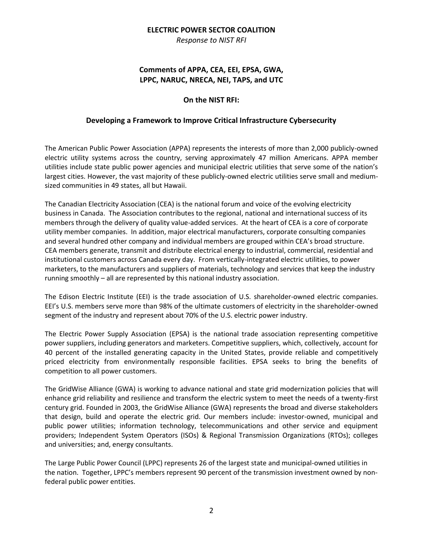*Response to NIST RFI*

# **Comments of APPA, CEA, EEI, EPSA, GWA, LPPC, NARUC, NRECA, NEI, TAPS, and UTC**

# **On the NIST RFI:**

# **Developing a Framework to Improve Critical Infrastructure Cybersecurity**

The American Public Power Association (APPA) represents the interests of more than 2,000 publicly-owned electric utility systems across the country, serving approximately 47 million Americans. APPA member utilities include state public power agencies and municipal electric utilities that serve some of the nation's largest cities. However, the vast majority of these publicly-owned electric utilities serve small and mediumsized communities in 49 states, all but Hawaii.

The Canadian Electricity Association (CEA) is the national forum and voice of the evolving electricity business in Canada. The Association contributes to the regional, national and international success of its members through the delivery of quality value-added services. At the heart of CEA is a core of corporate utility member companies. In addition, major electrical manufacturers, corporate consulting companies and several hundred other company and individual members are grouped within CEA's broad structure. CEA members generate, transmit and distribute electrical energy to industrial, commercial, residential and institutional customers across Canada every day. From vertically-integrated electric utilities, to power marketers, to the manufacturers and suppliers of materials, technology and services that keep the industry running smoothly – all are represented by this national industry association.

The Edison Electric Institute (EEI) is the trade association of U.S. shareholder-owned electric companies. EEI's U.S. members serve more than 98% of the ultimate customers of electricity in the shareholder-owned segment of the industry and represent about 70% of the U.S. electric power industry.

The Electric Power Supply Association (EPSA) is the national trade association representing competitive power suppliers, including generators and marketers. Competitive suppliers, which, collectively, account for 40 percent of the installed generating capacity in the United States, provide reliable and competitively priced electricity from environmentally responsible facilities. EPSA seeks to bring the benefits of competition to all power customers.

The GridWise Alliance (GWA) is working to advance national and state grid modernization policies that will enhance grid reliability and resilience and transform the electric system to meet the needs of a twenty-first century grid. Founded in 2003, the GridWise Alliance (GWA) represents the broad and diverse stakeholders that design, build and operate the electric grid. Our members include: investor-owned, municipal and public power utilities; information technology, telecommunications and other service and equipment providers; Independent System Operators (ISOs) & Regional Transmission Organizations (RTOs); colleges and universities; and, energy consultants.

The Large Public Power Council (LPPC) represents 26 of the largest state and municipal-owned utilities in the nation. Together, LPPC's members represent 90 percent of the transmission investment owned by nonfederal public power entities.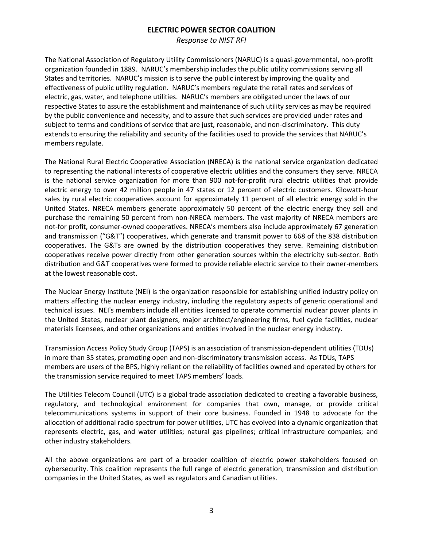*Response to NIST RFI*

The National Association of Regulatory Utility Commissioners (NARUC) is a quasi-governmental, non-profit organization founded in 1889. NARUC's membership includes the public utility commissions serving all States and territories. NARUC's mission is to serve the public interest by improving the quality and effectiveness of public utility regulation. NARUC's members regulate the retail rates and services of electric, gas, water, and telephone utilities. NARUC's members are obligated under the laws of our respective States to assure the establishment and maintenance of such utility services as may be required by the public convenience and necessity, and to assure that such services are provided under rates and subject to terms and conditions of service that are just, reasonable, and non-discriminatory. This duty extends to ensuring the reliability and security of the facilities used to provide the services that NARUC's members regulate.

The National Rural Electric Cooperative Association (NRECA) is the national service organization dedicated to representing the national interests of cooperative electric utilities and the consumers they serve. NRECA is the national service organization for more than 900 not-for-profit rural electric utilities that provide electric energy to over 42 million people in 47 states or 12 percent of electric customers. Kilowatt-hour sales by rural electric cooperatives account for approximately 11 percent of all electric energy sold in the United States. NRECA members generate approximately 50 percent of the electric energy they sell and purchase the remaining 50 percent from non-NRECA members. The vast majority of NRECA members are not-for profit, consumer-owned cooperatives. NRECA's members also include approximately 67 generation and transmission ("G&T") cooperatives, which generate and transmit power to 668 of the 838 distribution cooperatives. The G&Ts are owned by the distribution cooperatives they serve. Remaining distribution cooperatives receive power directly from other generation sources within the electricity sub-sector. Both distribution and G&T cooperatives were formed to provide reliable electric service to their owner-members at the lowest reasonable cost.

The Nuclear Energy Institute (NEI) is the organization responsible for establishing unified industry policy on matters affecting the nuclear energy industry, including the regulatory aspects of generic operational and technical issues. NEI's members include all entities licensed to operate commercial nuclear power plants in the United States, nuclear plant designers, major architect/engineering firms, fuel cycle facilities, nuclear materials licensees, and other organizations and entities involved in the nuclear energy industry.

Transmission Access Policy Study Group (TAPS) is an association of transmission-dependent utilities (TDUs) in more than 35 states, promoting open and non-discriminatory transmission access. As TDUs, TAPS members are users of the BPS, highly reliant on the reliability of facilities owned and operated by others for the transmission service required to meet TAPS members' loads.

The Utilities Telecom Council (UTC) is a global trade association dedicated to creating a favorable business, regulatory, and technological environment for companies that own, manage, or provide critical telecommunications systems in support of their core business. Founded in 1948 to advocate for the allocation of additional radio spectrum for power utilities, UTC has evolved into a dynamic organization that represents electric, gas, and water utilities; natural gas pipelines; critical infrastructure companies; and other industry stakeholders.

All the above organizations are part of a broader coalition of electric power stakeholders focused on cybersecurity. This coalition represents the full range of electric generation, transmission and distribution companies in the United States, as well as regulators and Canadian utilities.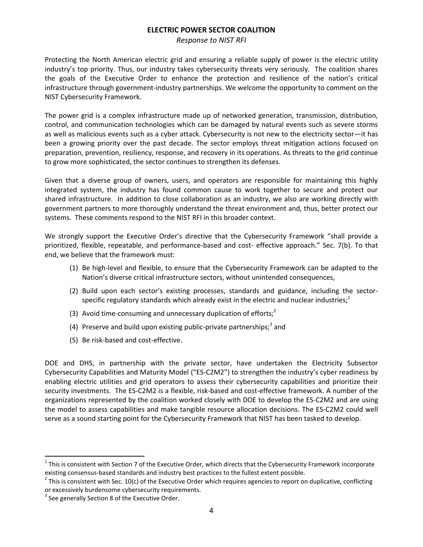*Response to NIST RFI*

Protecting the North American electric grid and ensuring a reliable supply of power is the electric utility industry's top priority. Thus, our industry takes cybersecurity threats very seriously. The coalition shares the goals of the Executive Order to enhance the protection and resilience of the nation's critical infrastructure through government-industry partnerships. We welcome the opportunity to comment on the NIST Cybersecurity Framework.

The power grid is a complex infrastructure made up of networked generation, transmission, distribution, control, and communication technologies which can be damaged by natural events such as severe storms as well as malicious events such as a cyber attack. Cybersecurity is not new to the electricity sector—it has been a growing priority over the past decade. The sector employs threat mitigation actions focused on preparation, prevention, resiliency, response, and recovery in its operations. As threats to the grid continue to grow more sophisticated, the sector continues to strengthen its defenses.

Given that a diverse group of owners, users, and operators are responsible for maintaining this highly integrated system, the industry has found common cause to work together to secure and protect our shared infrastructure. In addition to close collaboration as an industry, we also are working directly with government partners to more thoroughly understand the threat environment and, thus, better protect our systems. These comments respond to the NIST RFI in this broader context.

We strongly support the Executive Order's directive that the Cybersecurity Framework "shall provide a prioritized, flexible, repeatable, and performance-based and cost- effective approach." Sec. 7(b). To that end, we believe that the framework must:

- (1) Be high-level and flexible, to ensure that the Cybersecurity Framework can be adapted to the Nation's diverse critical infrastructure sectors, without unintended consequences,
- (2) Build upon each sector's existing processes, standards and guidance, including the sectorspecific regulatory standards which already exist in the electric and nuclear industries; $1$
- (3) Avoid time-consuming and unnecessary duplication of efforts;<sup>2</sup>
- (4) Preserve and build upon existing public-private partnerships;<sup>3</sup> and
- (5) Be risk-based and cost-effective.

DOE and DHS, in partnership with the private sector, have undertaken the Electricity Subsector Cybersecurity Capabilities and Maturity Model ("ES-C2M2") to strengthen the industry's cyber readiness by enabling electric utilities and grid operators to assess their cybersecurity capabilities and prioritize their security investments. The ES-C2M2 is a flexible, risk-based and cost-effective framework. A number of the organizations represented by the coalition worked closely with DOE to develop the ES-C2M2 and are using the model to assess capabilities and make tangible resource allocation decisions. The ES-C2M2 could well serve as a sound starting point for the Cybersecurity Framework that NIST has been tasked to develop.

l

 $1$  This is consistent with Section 7 of the Executive Order, which directs that the Cybersecurity Framework incorporate existing consensus-based standards and industry best practices to the fullest extent possible.

 $2$  This is consistent with Sec. 10(c) of the Executive Order which requires agencies to report on duplicative, conflicting or excessively burdensome cybersecurity requirements.

<sup>&</sup>lt;sup>3</sup> See generally Section 8 of the Executive Order.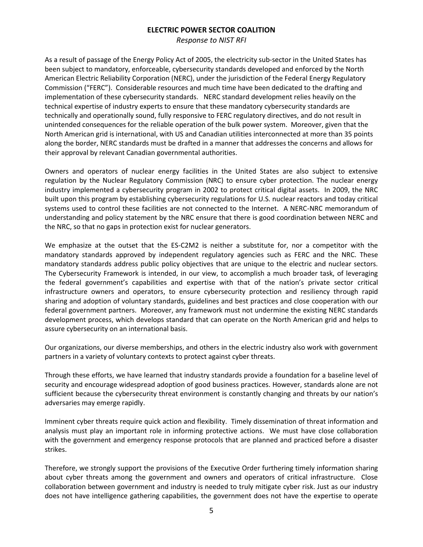*Response to NIST RFI*

As a result of passage of the Energy Policy Act of 2005, the electricity sub-sector in the United States has been subject to mandatory, enforceable, cybersecurity standards developed and enforced by the North American Electric Reliability Corporation (NERC), under the jurisdiction of the Federal Energy Regulatory Commission ("FERC"). Considerable resources and much time have been dedicated to the drafting and implementation of these cybersecurity standards. NERC standard development relies heavily on the technical expertise of industry experts to ensure that these mandatory cybersecurity standards are technically and operationally sound, fully responsive to FERC regulatory directives, and do not result in unintended consequences for the reliable operation of the bulk power system. Moreover, given that the North American grid is international, with US and Canadian utilities interconnected at more than 35 points along the border, NERC standards must be drafted in a manner that addresses the concerns and allows for their approval by relevant Canadian governmental authorities.

Owners and operators of nuclear energy facilities in the United States are also subject to extensive regulation by the Nuclear Regulatory Commission (NRC) to ensure cyber protection. The nuclear energy industry implemented a cybersecurity program in 2002 to protect critical digital assets. In 2009, the NRC built upon this program by establishing cybersecurity regulations for U.S. nuclear reactors and today critical systems used to control these facilities are not connected to the Internet. A NERC-NRC memorandum of understanding and policy statement by the NRC ensure that there is good coordination between NERC and the NRC, so that no gaps in protection exist for nuclear generators.

We emphasize at the outset that the ES-C2M2 is neither a substitute for, nor a competitor with the mandatory standards approved by independent regulatory agencies such as FERC and the NRC. These mandatory standards address public policy objectives that are unique to the electric and nuclear sectors. The Cybersecurity Framework is intended, in our view, to accomplish a much broader task, of leveraging the federal government's capabilities and expertise with that of the nation's private sector critical infrastructure owners and operators, to ensure cybersecurity protection and resiliency through rapid sharing and adoption of voluntary standards, guidelines and best practices and close cooperation with our federal government partners. Moreover, any framework must not undermine the existing NERC standards development process, which develops standard that can operate on the North American grid and helps to assure cybersecurity on an international basis.

Our organizations, our diverse memberships, and others in the electric industry also work with government partners in a variety of voluntary contexts to protect against cyber threats.

Through these efforts, we have learned that industry standards provide a foundation for a baseline level of security and encourage widespread adoption of good business practices. However, standards alone are not sufficient because the cybersecurity threat environment is constantly changing and threats by our nation's adversaries may emerge rapidly.

Imminent cyber threats require quick action and flexibility. Timely dissemination of threat information and analysis must play an important role in informing protective actions. We must have close collaboration with the government and emergency response protocols that are planned and practiced before a disaster strikes.

Therefore, we strongly support the provisions of the Executive Order furthering timely information sharing about cyber threats among the government and owners and operators of critical infrastructure. Close collaboration between government and industry is needed to truly mitigate cyber risk. Just as our industry does not have intelligence gathering capabilities, the government does not have the expertise to operate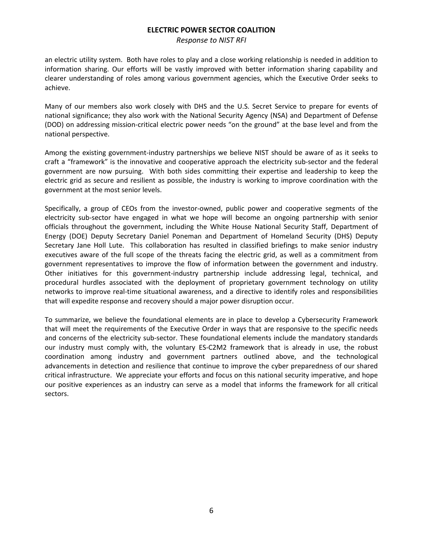*Response to NIST RFI*

an electric utility system. Both have roles to play and a close working relationship is needed in addition to information sharing. Our efforts will be vastly improved with better information sharing capability and clearer understanding of roles among various government agencies, which the Executive Order seeks to achieve.

Many of our members also work closely with DHS and the U.S. Secret Service to prepare for events of national significance; they also work with the National Security Agency (NSA) and Department of Defense (DOD) on addressing mission-critical electric power needs "on the ground" at the base level and from the national perspective.

Among the existing government-industry partnerships we believe NIST should be aware of as it seeks to craft a "framework" is the innovative and cooperative approach the electricity sub-sector and the federal government are now pursuing. With both sides committing their expertise and leadership to keep the electric grid as secure and resilient as possible, the industry is working to improve coordination with the government at the most senior levels.

Specifically, a group of CEOs from the investor-owned, public power and cooperative segments of the electricity sub-sector have engaged in what we hope will become an ongoing partnership with senior officials throughout the government, including the White House National Security Staff, Department of Energy (DOE) Deputy Secretary Daniel Poneman and Department of Homeland Security (DHS) Deputy Secretary Jane Holl Lute. This collaboration has resulted in classified briefings to make senior industry executives aware of the full scope of the threats facing the electric grid, as well as a commitment from government representatives to improve the flow of information between the government and industry. Other initiatives for this government-industry partnership include addressing legal, technical, and procedural hurdles associated with the deployment of proprietary government technology on utility networks to improve real-time situational awareness, and a directive to identify roles and responsibilities that will expedite response and recovery should a major power disruption occur.

To summarize, we believe the foundational elements are in place to develop a Cybersecurity Framework that will meet the requirements of the Executive Order in ways that are responsive to the specific needs and concerns of the electricity sub-sector. These foundational elements include the mandatory standards our industry must comply with, the voluntary ES-C2M2 framework that is already in use, the robust coordination among industry and government partners outlined above, and the technological advancements in detection and resilience that continue to improve the cyber preparedness of our shared critical infrastructure. We appreciate your efforts and focus on this national security imperative, and hope our positive experiences as an industry can serve as a model that informs the framework for all critical sectors.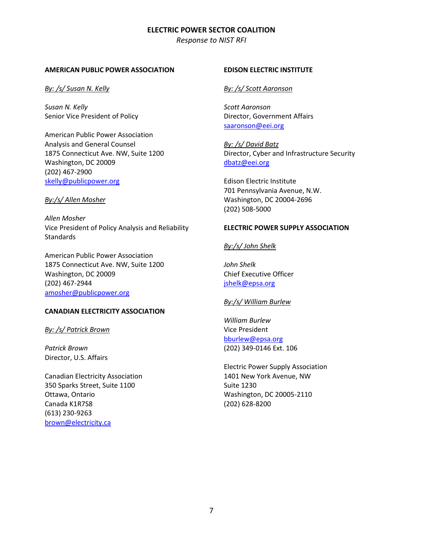*Response to NIST RFI*

#### **AMERICAN PUBLIC POWER ASSOCIATION**

*By: /s/ Susan N. Kelly*

*Susan N. Kelly* Senior Vice President of Policy

American Public Power Association Analysis and General Counsel 1875 Connecticut Ave. NW, Suite 1200 Washington, DC 20009 (202) 467-2900 [skelly@publicpower.org](mailto:skelly@publicpower.org)

#### *By:/s/ Allen Mosher*

*Allen Mosher* Vice President of Policy Analysis and Reliability **Standards** 

American Public Power Association 1875 Connecticut Ave. NW, Suite 1200 Washington, DC 20009 (202) 467-2944 [amosher@publicpower.org](mailto:amosher@publicpower.org) 

## **CANADIAN ELECTRICITY ASSOCIATION**

*By: /s/ Patrick Brown*

*Patrick Brown* Director, U.S. Affairs

Canadian Electricity Association 350 Sparks Street, Suite 1100 Ottawa, Ontario Canada K1R7S8 (613) 230-9263 [brown@electricity.ca](mailto:brown@electricity.ca)

### **EDISON ELECTRIC INSTITUTE**

### *By: /s/ Scott Aaronson*

*Scott Aaronson* Director, Government Affairs [saaronson@eei.org](mailto:saaronson@eei.org)

*By: /s/ David Batz* Director, Cyber and Infrastructure Security [dbatz@eei.org](mailto:dbatz@eei.org)

Edison Electric Institute 701 Pennsylvania Avenue, N.W. Washington, DC 20004-2696 (202) 508-5000

### **ELECTRIC POWER SUPPLY ASSOCIATION**

*By:/s/ John Shelk*

*John Shelk* Chief Executive Officer [jshelk@epsa.org](mailto:jshelk@epsa.org)

#### *By:/s/ William Burlew*

*William Burlew* Vice President [bburlew@epsa.org](mailto:bburlew@epsa.org) (202) 349-0146 Ext. 106

Electric Power Supply Association 1401 New York Avenue, NW Suite 1230 Washington, DC 20005-2110 (202) 628-8200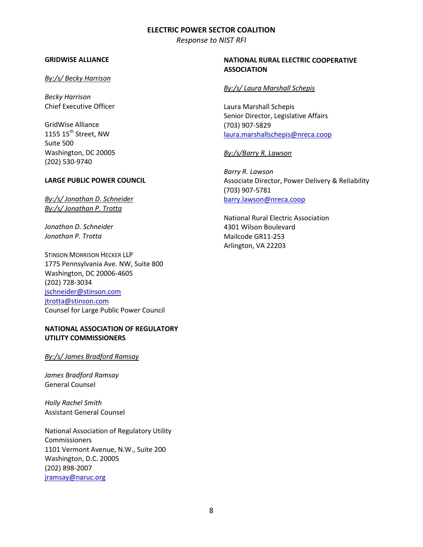*Response to NIST RFI*

#### **GRIDWISE ALLIANCE**

#### *By:/s/ Becky Harrison*

*Becky Harrison* Chief Executive Officer

GridWise Alliance 1155  $15<sup>th</sup>$  Street, NW Suite 500 Washington, DC 20005 (202) 530-9740

#### **LARGE PUBLIC POWER COUNCIL**

*By:/s/ Jonathan D. Schneider By:/s/ Jonathan P. Trotta*

*Jonathan D. Schneider Jonathan P. Trotta*

STINSON MORRISON HECKER LLP 1775 Pennsylvania Ave. NW, Suite 800 Washington, DC 20006-4605 (202) 728-3034 [jschneider@stinson.com](mailto:jschneider@stinson.com) [jtrotta@stinson.com](mailto:jtrotta@stinson.com) Counsel for Large Public Power Council

# **NATIONAL ASSOCIATION OF REGULATORY UTILITY COMMISSIONERS**

### *By:/s/ James Bradford Ramsay*

*James Bradford Ramsay* General Counsel

*Holly Rachel Smith* Assistant General Counsel

National Association of Regulatory Utility Commissioners 1101 Vermont Avenue, N.W., Suite 200 Washington, D.C. 20005 (202) 898-2007 [jramsay@naruc.org](mailto:jramsay@naruc.org)

## **NATIONAL RURAL ELECTRIC COOPERATIVE ASSOCIATION**

### *By:/s/ Laura Marshall Schepis*

Laura Marshall Schepis Senior Director, Legislative Affairs (703) 907-5829 [laura.marshallschepis@nreca.coop](mailto:laura.marshallschepis@nreca.coop)

#### *By:/s/Barry R. Lawson*

*Barry R. Lawson* Associate Director, Power Delivery & Reliability (703) 907-5781 [barry.lawson@nreca.coop](mailto:barry.lawson@nreca.coop)

National Rural Electric Association 4301 Wilson Boulevard Mailcode GR11-253 Arlington, VA 22203